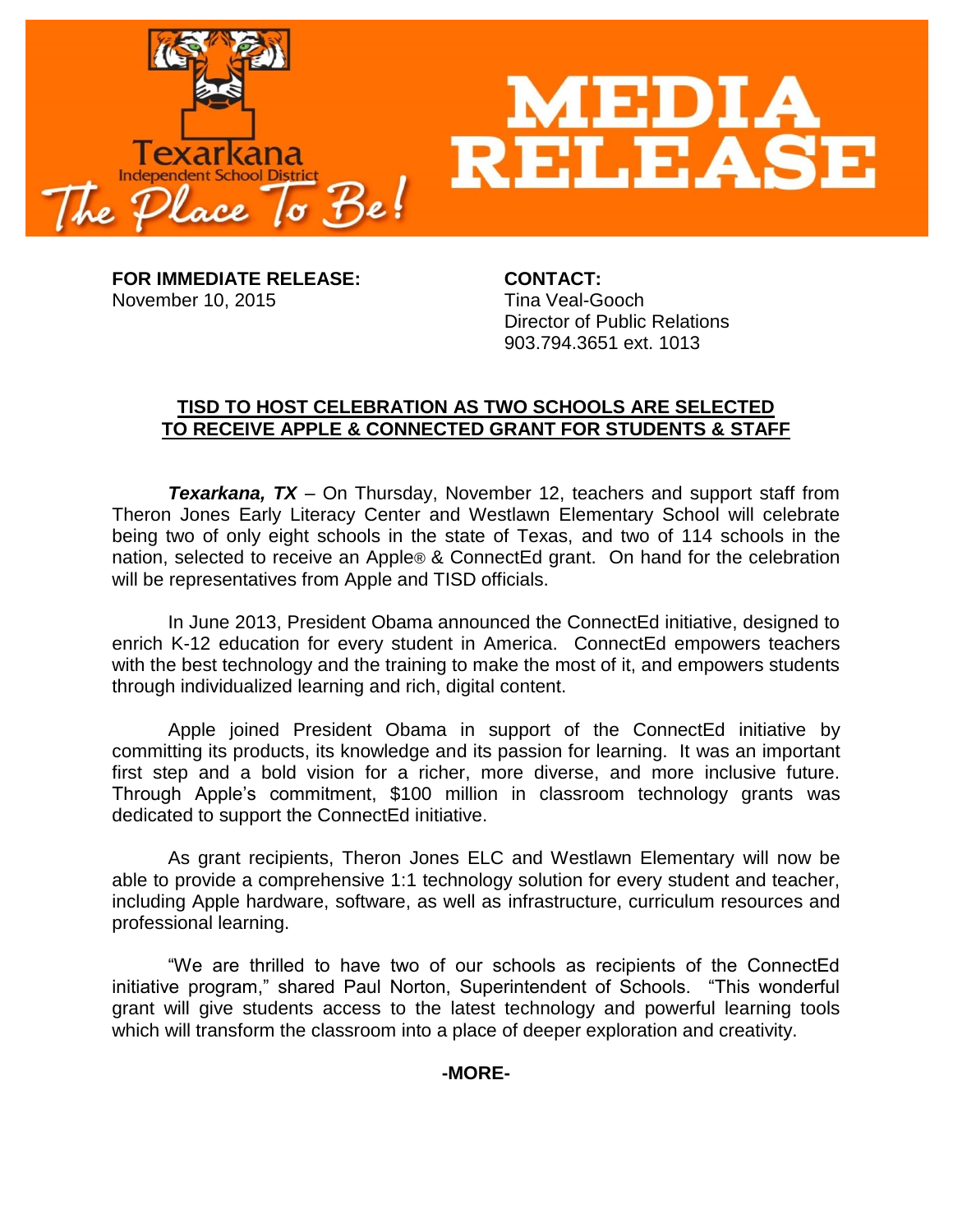

**FOR IMMEDIATE RELEASE: CONTACT:** November 10, 2015 Tina Veal-Gooch

Director of Public Relations 903.794.3651 ext. 1013

## **TISD TO HOST CELEBRATION AS TWO SCHOOLS ARE SELECTED TO RECEIVE APPLE & CONNECTED GRANT FOR STUDENTS & STAFF**

*Texarkana, TX* – On Thursday, November 12, teachers and support staff from Theron Jones Early Literacy Center and Westlawn Elementary School will celebrate being two of only eight schools in the state of Texas, and two of 114 schools in the nation, selected to receive an Apple® & ConnectEd grant. On hand for the celebration will be representatives from Apple and TISD officials.

In June 2013, President Obama announced the ConnectEd initiative, designed to enrich K-12 education for every student in America. ConnectEd empowers teachers with the best technology and the training to make the most of it, and empowers students through individualized learning and rich, digital content.

Apple joined President Obama in support of the ConnectEd initiative by committing its products, its knowledge and its passion for learning. It was an important first step and a bold vision for a richer, more diverse, and more inclusive future. Through Apple's commitment, \$100 million in classroom technology grants was dedicated to support the ConnectEd initiative.

As grant recipients, Theron Jones ELC and Westlawn Elementary will now be able to provide a comprehensive 1:1 technology solution for every student and teacher, including Apple hardware, software, as well as infrastructure, curriculum resources and professional learning.

"We are thrilled to have two of our schools as recipients of the ConnectEd initiative program," shared Paul Norton, Superintendent of Schools. "This wonderful grant will give students access to the latest technology and powerful learning tools which will transform the classroom into a place of deeper exploration and creativity.

**-MORE-**